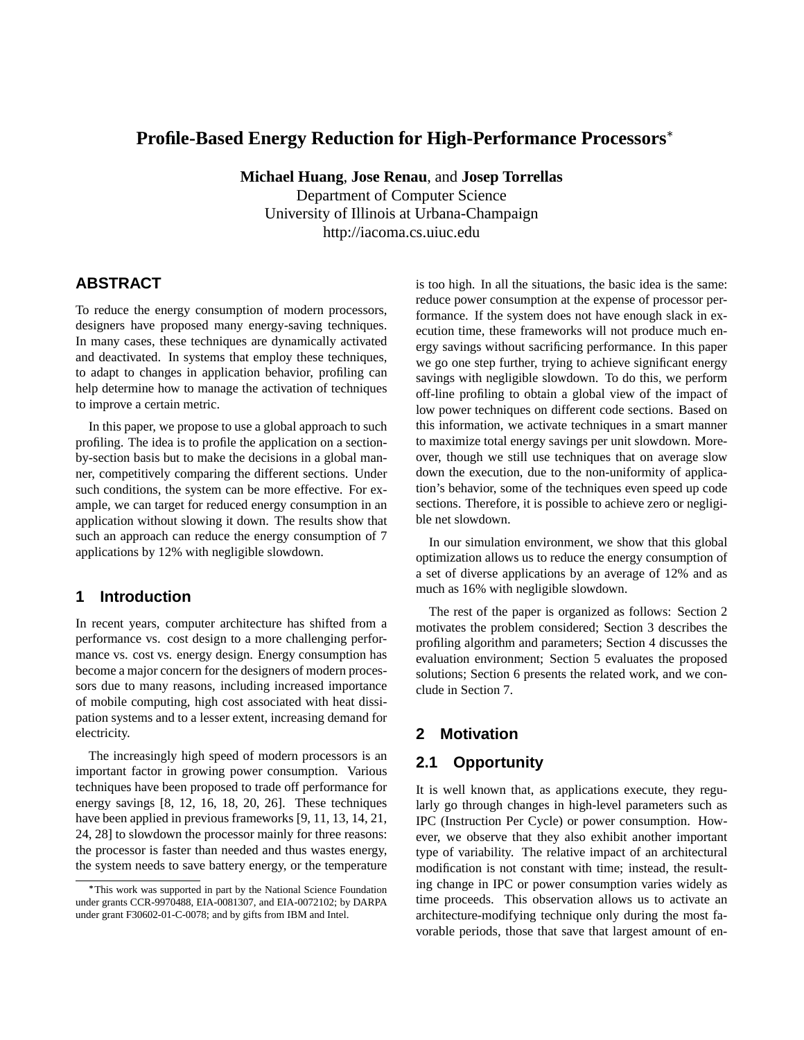# **Profile-Based Energy Reduction for High-Performance Processors**

**Michael Huang**, **Jose Renau**, and **Josep Torrellas** Department of Computer Science University of Illinois at Urbana-Champaign http://iacoma.cs.uiuc.edu

# **ABSTRACT**

To reduce the energy consumption of modern processors, designers have proposed many energy-saving techniques. In many cases, these techniques are dynamically activated and deactivated. In systems that employ these techniques, to adapt to changes in application behavior, profiling can help determine how to manage the activation of techniques to improve a certain metric.

In this paper, we propose to use a global approach to such profiling. The idea is to profile the application on a sectionby-section basis but to make the decisions in a global manner, competitively comparing the different sections. Under such conditions, the system can be more effective. For example, we can target for reduced energy consumption in an application without slowing it down. The results show that such an approach can reduce the energy consumption of 7 applications by 12% with negligible slowdown.

### **1 Introduction**

In recent years, computer architecture has shifted from a performance vs. cost design to a more challenging performance vs. cost vs. energy design. Energy consumption has become a major concern for the designers of modern processors due to many reasons, including increased importance of mobile computing, high cost associated with heat dissipation systems and to a lesser extent, increasing demand for electricity.

The increasingly high speed of modern processors is an important factor in growing power consumption. Various techniques have been proposed to trade off performance for energy savings [8, 12, 16, 18, 20, 26]. These techniques have been applied in previous frameworks [9, 11, 13, 14, 21, 24, 28] to slowdown the processor mainly for three reasons: the processor is faster than needed and thus wastes energy, the system needs to save battery energy, or the temperature

is too high. In all the situations, the basic idea is the same: reduce power consumption at the expense of processor performance. If the system does not have enough slack in execution time, these frameworks will not produce much energy savings without sacrificing performance. In this paper we go one step further, trying to achieve significant energy savings with negligible slowdown. To do this, we perform off-line profiling to obtain a global view of the impact of low power techniques on different code sections. Based on this information, we activate techniques in a smart manner to maximize total energy savings per unit slowdown. Moreover, though we still use techniques that on average slow down the execution, due to the non-uniformity of application's behavior, some of the techniques even speed up code sections. Therefore, it is possible to achieve zero or negligible net slowdown.

In our simulation environment, we show that this global optimization allows us to reduce the energy consumption of a set of diverse applications by an average of 12% and as much as 16% with negligible slowdown.

The rest of the paper is organized as follows: Section 2 motivates the problem considered; Section 3 describes the profiling algorithm and parameters; Section 4 discusses the evaluation environment; Section 5 evaluates the proposed solutions; Section 6 presents the related work, and we conclude in Section 7.

## **2 Motivation**

# **2.1 Opportunity**

It is well known that, as applications execute, they regularly go through changes in high-level parameters such as IPC (Instruction Per Cycle) or power consumption. However, we observe that they also exhibit another important type of variability. The relative impact of an architectural modification is not constant with time; instead, the resulting change in IPC or power consumption varies widely as time proceeds. This observation allows us to activate an architecture-modifying technique only during the most favorable periods, those that save that largest amount of en-

This work was supported in part by the National Science Foundation under grants CCR-9970488, EIA-0081307, and EIA-0072102; by DARPA under grant F30602-01-C-0078; and by gifts from IBM and Intel.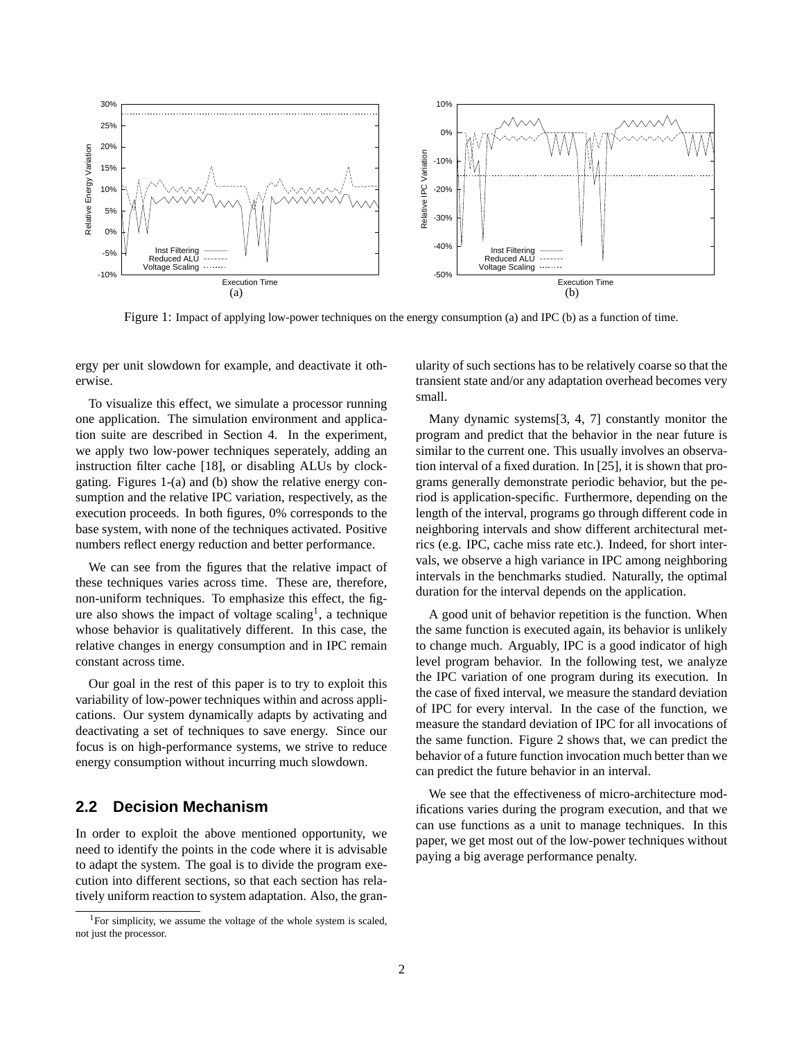

Figure 1: Impact of applying low-power techniques on the energy consumption (a) and IPC (b) as a function of time.

ergy per unit slowdown for example, and deactivate it otherwise.

To visualize this effect, we simulate a processor running one application. The simulation environment and application suite are described in Section 4. In the experiment, we apply two low-power techniques seperately, adding an instruction filter cache [18], or disabling ALUs by clockgating. Figures 1-(a) and (b) show the relative energy consumption and the relative IPC variation, respectively, as the execution proceeds. In both figures, 0% corresponds to the base system, with none of the techniques activated. Positive numbers reflect energy reduction and better performance.

We can see from the figures that the relative impact of these techniques varies across time. These are, therefore, non-uniform techniques. To emphasize this effect, the figure also shows the impact of voltage scaling<sup>1</sup>, a technique whose behavior is qualitatively different. In this case, the relative changes in energy consumption and in IPC remain constant across time.

Our goal in the rest of this paper is to try to exploit this variability of low-power techniques within and across applications. Our system dynamically adapts by activating and deactivating a set of techniques to save energy. Since our focus is on high-performance systems, we strive to reduce energy consumption without incurring much slowdown.

#### **2.2 Decision Mechanism**

In order to exploit the above mentioned opportunity, we need to identify the points in the code where it is advisable to adapt the system. The goal is to divide the program execution into different sections, so that each section has relatively uniform reaction to system adaptation. Also, the granularity of such sections has to be relatively coarse so that the transient state and/or any adaptation overhead becomes very small.

Many dynamic systems[3, 4, 7] constantly monitor the program and predict that the behavior in the near future is similar to the current one. This usually involves an observation interval of a fixed duration. In [25], it is shown that programs generally demonstrate periodic behavior, but the period is application-specific. Furthermore, depending on the length of the interval, programs go through different code in neighboring intervals and show different architectural metrics (e.g. IPC, cache miss rate etc.). Indeed, for short intervals, we observe a high variance in IPC among neighboring intervals in the benchmarks studied. Naturally, the optimal duration for the interval depends on the application.

A good unit of behavior repetition is the function. When the same function is executed again, its behavior is unlikely to change much. Arguably, IPC is a good indicator of high level program behavior. In the following test, we analyze the IPC variation of one program during its execution. In the case of fixed interval, we measure the standard deviation of IPC for every interval. In the case of the function, we measure the standard deviation of IPC for all invocations of the same function. Figure 2 shows that, we can predict the behavior of a future function invocation much better than we can predict the future behavior in an interval.

We see that the effectiveness of micro-architecture modifications varies during the program execution, and that we can use functions as a unit to manage techniques. In this paper, we get most out of the low-power techniques without paying a big average performance penalty.

 $1$ For simplicity, we assume the voltage of the whole system is scaled, not just the processor.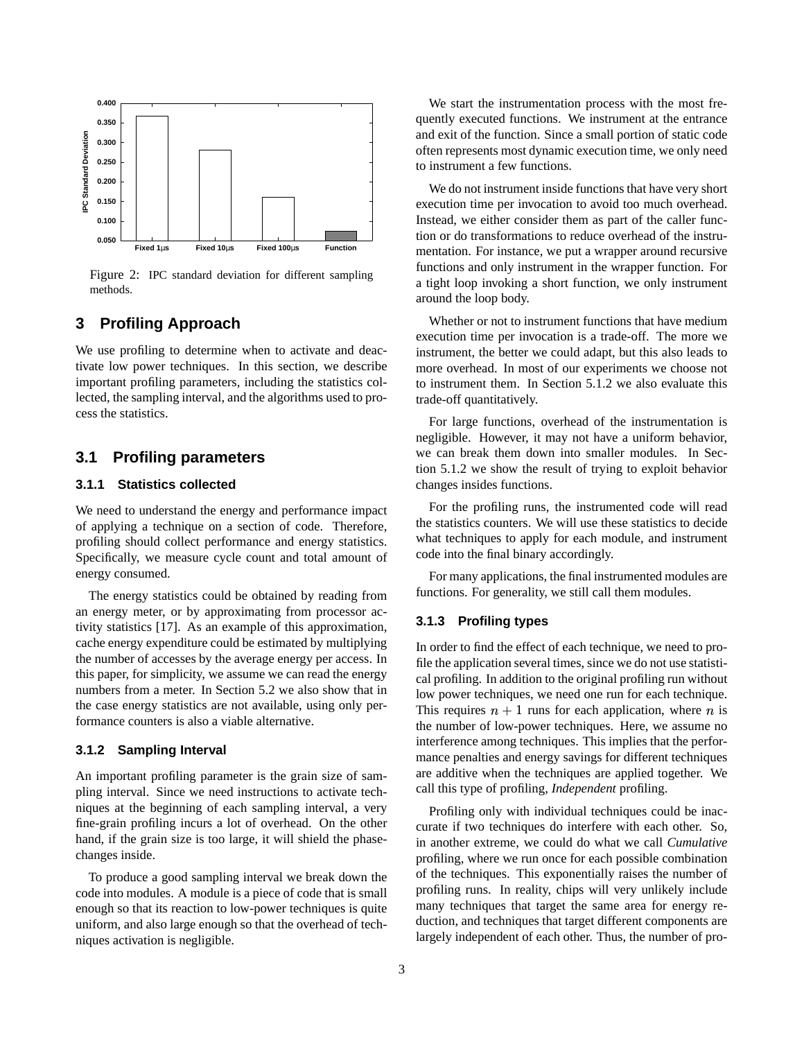

Figure 2: IPC standard deviation for different sampling methods.

### **3 Profiling Approach**

We use profiling to determine when to activate and deactivate low power techniques. In this section, we describe important profiling parameters, including the statistics collected, the sampling interval, and the algorithms used to process the statistics.

### **3.1 Profiling parameters**

#### **3.1.1 Statistics collected**

We need to understand the energy and performance impact of applying a technique on a section of code. Therefore, profiling should collect performance and energy statistics. Specifically, we measure cycle count and total amount of energy consumed.

The energy statistics could be obtained by reading from an energy meter, or by approximating from processor activity statistics [17]. As an example of this approximation, cache energy expenditure could be estimated by multiplying the number of accesses by the average energy per access. In this paper, for simplicity, we assume we can read the energy numbers from a meter. In Section 5.2 we also show that in the case energy statistics are not available, using only performance counters is also a viable alternative.

#### **3.1.2 Sampling Interval**

An important profiling parameter is the grain size of sampling interval. Since we need instructions to activate techniques at the beginning of each sampling interval, a very fine-grain profiling incurs a lot of overhead. On the other hand, if the grain size is too large, it will shield the phasechanges inside.

To produce a good sampling interval we break down the code into modules. A module is a piece of code that is small enough so that its reaction to low-power techniques is quite uniform, and also large enough so that the overhead of techniques activation is negligible.

We start the instrumentation process with the most frequently executed functions. We instrument at the entrance and exit of the function. Since a small portion of static code often represents most dynamic execution time, we only need to instrument a few functions.

We do not instrument inside functions that have very short execution time per invocation to avoid too much overhead. Instead, we either consider them as part of the caller function or do transformations to reduce overhead of the instrumentation. For instance, we put a wrapper around recursive functions and only instrument in the wrapper function. For a tight loop invoking a short function, we only instrument around the loop body.

Whether or not to instrument functions that have medium execution time per invocation is a trade-off. The more we instrument, the better we could adapt, but this also leads to more overhead. In most of our experiments we choose not to instrument them. In Section 5.1.2 we also evaluate this trade-off quantitatively.

For large functions, overhead of the instrumentation is negligible. However, it may not have a uniform behavior, we can break them down into smaller modules. In Section 5.1.2 we show the result of trying to exploit behavior changes insides functions.

For the profiling runs, the instrumented code will read the statistics counters. We will use these statistics to decide what techniques to apply for each module, and instrument code into the final binary accordingly.

For many applications, the final instrumented modules are functions. For generality, we still call them modules.

#### **3.1.3 Profiling types**

In order to find the effect of each technique, we need to profile the application several times, since we do not use statistical profiling. In addition to the original profiling run without low power techniques, we need one run for each technique. This requires  $n + 1$  runs for each application, where n is the number of low-power techniques. Here, we assume no interference among techniques. This implies that the performance penalties and energy savings for different techniques are additive when the techniques are applied together. We call this type of profiling, *Independent* profiling.

Profiling only with individual techniques could be inaccurate if two techniques do interfere with each other. So, in another extreme, we could do what we call *Cumulative* profiling, where we run once for each possible combination of the techniques. This exponentially raises the number of profiling runs. In reality, chips will very unlikely include many techniques that target the same area for energy reduction, and techniques that target different components are largely independent of each other. Thus, the number of pro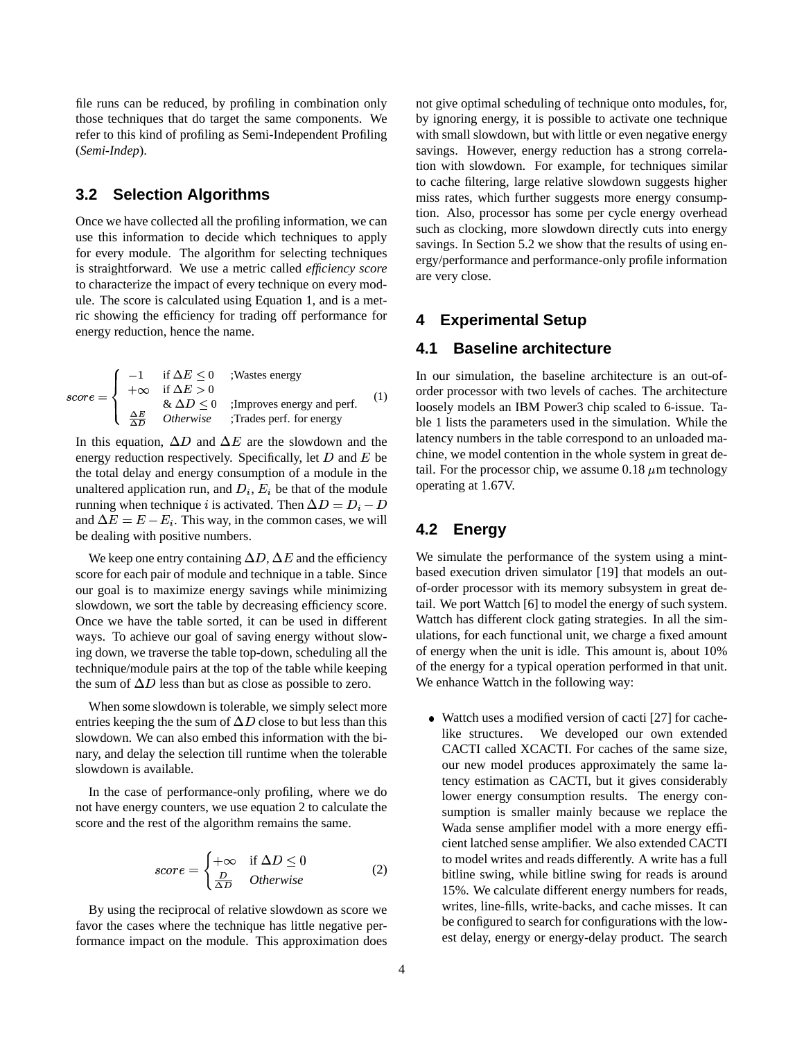file runs can be reduced, by profiling in combination only those techniques that do target the same components. We refer to this kind of profiling as Semi-Independent Profiling (*Semi-Indep*).

## **3.2 Selection Algorithms**

-

Once we have collected all the profiling information, we can use this information to decide which techniques to apply for every module. The algorithm for selecting techniques is straightforward. We use a metric called *efficiency score* to characterize the impact of every technique on every module. The score is calculated using Equation 1, and is a metric showing the efficiency for trading off performance for energy reduction, hence the name.

$$
score = \begin{cases}\n-1 & \text{if } \Delta E \le 0 \\
+\infty & \text{if } \Delta E > 0 \\
& \& \Delta D \le 0 \\
\frac{\Delta E}{\Delta D} & \text{otherwise}\n\end{cases}
$$
 ;  
\n**Improves energy and perf.** (1)

In this equation,  $\Delta D$  and  $\Delta E$  are the slowdown and the energy reduction respectively. Specifically, let  $D$  and  $E$  be the total delay and energy consumption of a module in the unaltered application run, and  $D_i$ ,  $E_i$  be that of the module running when technique *i* is activated. Then  $\Delta D = D_i - D_i$ and  $\Delta E = E - E_i$ . This way, in the common cases, we will be dealing with positive numbers.

We keep one entry containing  $\Delta D$ ,  $\Delta E$  and the efficiency score for each pair of module and technique in a table. Since our goal is to maximize energy savings while minimizing slowdown, we sort the table by decreasing efficiency score. Once we have the table sorted, it can be used in different ways. To achieve our goal of saving energy without slowing down, we traverse the table top-down, scheduling all the technique/module pairs at the top of the table while keeping the sum of  $\Delta D$  less than but as close as possible to zero.

When some slowdown is tolerable, we simply select more entries keeping the the sum of  $\Delta D$  close to but less than this slowdown. We can also embed this information with the binary, and delay the selection till runtime when the tolerable slowdown is available.

In the case of performance-only profiling, where we do not have energy counters, we use equation 2 to calculate the score and the rest of the algorithm remains the same.

$$
score = \begin{cases} +\infty & \text{if } \Delta D \le 0\\ \frac{D}{\Delta D} & Otherwise \end{cases}
$$
 (2)

By using the reciprocal of relative slowdown as score we favor the cases where the technique has little negative performance impact on the module. This approximation does not give optimal scheduling of technique onto modules, for, by ignoring energy, it is possible to activate one technique with small slowdown, but with little or even negative energy savings. However, energy reduction has a strong correlation with slowdown. For example, for techniques similar to cache filtering, large relative slowdown suggests higher miss rates, which further suggests more energy consumption. Also, processor has some per cycle energy overhead such as clocking, more slowdown directly cuts into energy savings. In Section 5.2 we show that the results of using energy/performance and performance-only profile information are very close.

#### **4 Experimental Setup**

## **4.1 Baseline architecture**

In our simulation, the baseline architecture is an out-oforder processor with two levels of caches. The architecture loosely models an IBM Power3 chip scaled to 6-issue. Table 1 lists the parameters used in the simulation. While the latency numbers in the table correspond to an unloaded machine, we model contention in the whole system in great detail. For the processor chip, we assume  $0.18 \mu m$  technology operating at 1.67V.

### **4.2 Energy**

We simulate the performance of the system using a mintbased execution driven simulator [19] that models an outof-order processor with its memory subsystem in great detail. We port Wattch [6] to model the energy of such system. Wattch has different clock gating strategies. In all the simulations, for each functional unit, we charge a fixed amount of energy when the unit is idle. This amount is, about 10% of the energy for a typical operation performed in that unit. We enhance Wattch in the following way:

 $\bullet$  Wattch uses a modified version of cacti [27] for cachelike structures. We developed our own extended CACTI called XCACTI. For caches of the same size, our new model produces approximately the same latency estimation as CACTI, but it gives considerably lower energy consumption results. The energy consumption is smaller mainly because we replace the Wada sense amplifier model with a more energy efficient latched sense amplifier. We also extended CACTI to model writes and reads differently. A write has a full bitline swing, while bitline swing for reads is around 15%. We calculate different energy numbers for reads, writes, line-fills, write-backs, and cache misses. It can be configured to search for configurations with the lowest delay, energy or energy-delay product. The search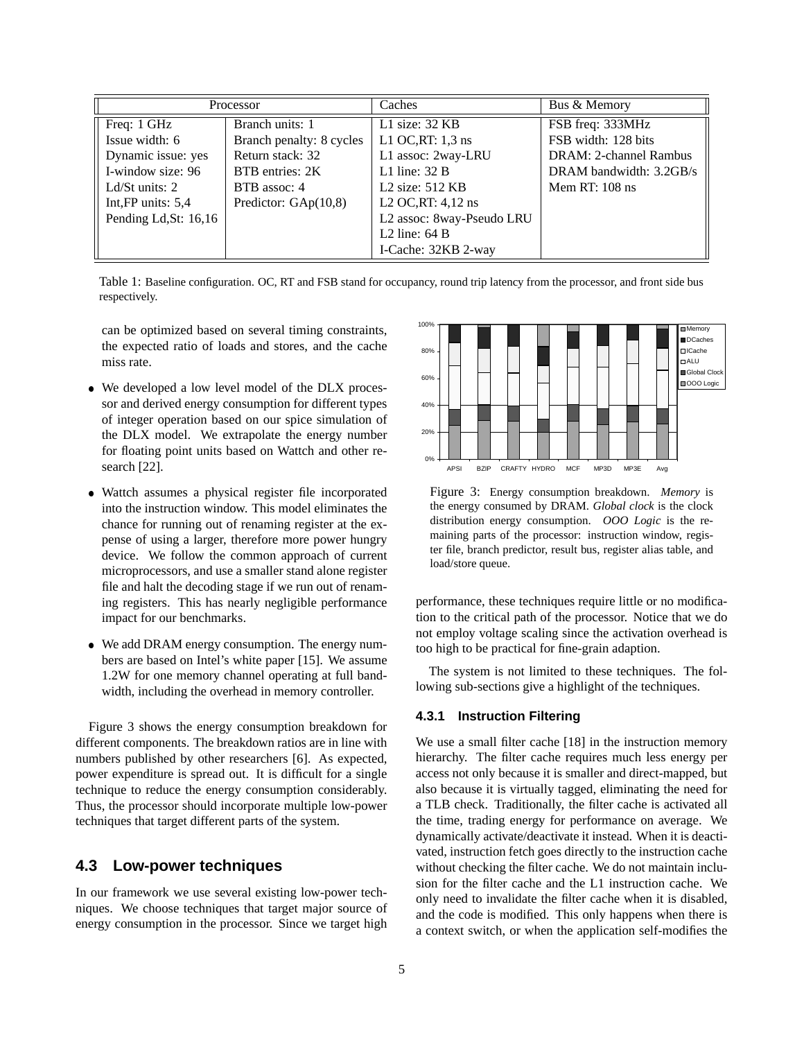| Processor              |                          | Caches                           | Bus & Memory            |
|------------------------|--------------------------|----------------------------------|-------------------------|
| Freq: 1 GHz            | Branch units: 1          | L1 size: $32$ KB                 | FSB freq: 333MHz        |
| Issue width: 6         | Branch penalty: 8 cycles | L1 OC, RT: $1,3$ ns              | FSB width: 128 bits     |
| Dynamic issue: yes     | Return stack: 32         | L1 assoc: 2way-LRU               | DRAM: 2-channel Rambus  |
| I-window size: 96      | BTB entries: 2K          | L1 line: $32B$                   | DRAM bandwidth: 3.2GB/s |
| Ld/St units: $2$       | BTB assoc: 4             | L <sub>2</sub> size: $512$ KB    | Mem RT: $108$ ns        |
| Int, FP units: $5,4$   | Predictor: $GAp(10,8)$   | L <sub>2</sub> OC, RT: $4,12$ ns |                         |
| Pending Ld, St: 16, 16 |                          | L2 assoc: 8way-Pseudo LRU        |                         |
|                        |                          | L2 line: $64B$                   |                         |
|                        |                          | I-Cache: 32KB 2-way              |                         |

Table 1: Baseline configuration. OC, RT and FSB stand for occupancy, round trip latency from the processor, and front side bus respectively.

can be optimized based on several timing constraints, the expected ratio of loads and stores, and the cache miss rate.

- We developed a low level model of the DLX processor and derived energy consumption for different types of integer operation based on our spice simulation of the DLX model. We extrapolate the energy number for floating point units based on Wattch and other research [22].
- Wattch assumes a physical register file incorporated into the instruction window. This model eliminates the chance for running out of renaming register at the expense of using a larger, therefore more power hungry device. We follow the common approach of current microprocessors, and use a smaller stand alone register file and halt the decoding stage if we run out of renaming registers. This has nearly negligible performance impact for our benchmarks.
- We add DRAM energy consumption. The energy numbers are based on Intel's white paper [15]. We assume 1.2W for one memory channel operating at full bandwidth, including the overhead in memory controller.

Figure 3 shows the energy consumption breakdown for different components. The breakdown ratios are in line with numbers published by other researchers [6]. As expected, power expenditure is spread out. It is difficult for a single technique to reduce the energy consumption considerably. Thus, the processor should incorporate multiple low-power techniques that target different parts of the system.

## **4.3 Low-power techniques**

In our framework we use several existing low-power techniques. We choose techniques that target major source of energy consumption in the processor. Since we target high



Figure 3: Energy consumption breakdown. *Memory* is the energy consumed by DRAM. *Global clock* is the clock distribution energy consumption. *OOO Logic* is the remaining parts of the processor: instruction window, register file, branch predictor, result bus, register alias table, and load/store queue.

performance, these techniques require little or no modification to the critical path of the processor. Notice that we do not employ voltage scaling since the activation overhead is too high to be practical for fine-grain adaption.

The system is not limited to these techniques. The following sub-sections give a highlight of the techniques.

#### **4.3.1 Instruction Filtering**

We use a small filter cache [18] in the instruction memory hierarchy. The filter cache requires much less energy per access not only because it is smaller and direct-mapped, but also because it is virtually tagged, eliminating the need for a TLB check. Traditionally, the filter cache is activated all the time, trading energy for performance on average. We dynamically activate/deactivate it instead. When it is deactivated, instruction fetch goes directly to the instruction cache without checking the filter cache. We do not maintain inclusion for the filter cache and the L1 instruction cache. We only need to invalidate the filter cache when it is disabled, and the code is modified. This only happens when there is a context switch, or when the application self-modifies the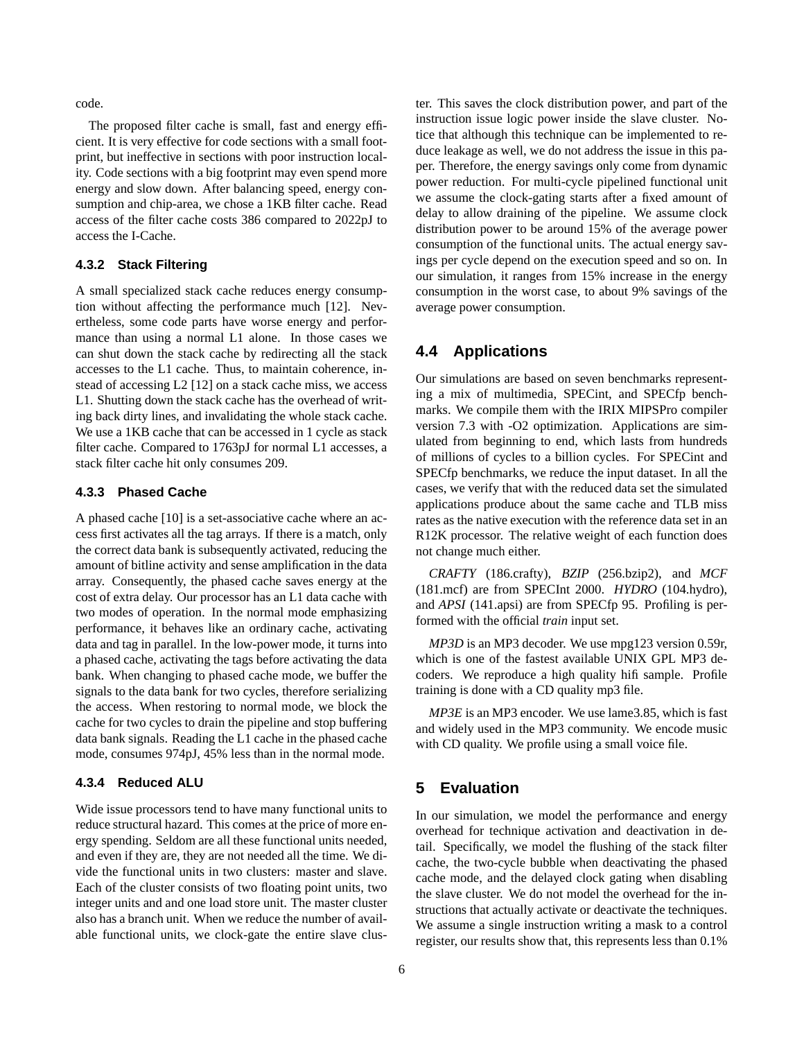code.

The proposed filter cache is small, fast and energy efficient. It is very effective for code sections with a small footprint, but ineffective in sections with poor instruction locality. Code sections with a big footprint may even spend more energy and slow down. After balancing speed, energy consumption and chip-area, we chose a 1KB filter cache. Read access of the filter cache costs 386 compared to 2022pJ to access the I-Cache.

#### **4.3.2 Stack Filtering**

A small specialized stack cache reduces energy consumption without affecting the performance much [12]. Nevertheless, some code parts have worse energy and performance than using a normal L1 alone. In those cases we can shut down the stack cache by redirecting all the stack accesses to the L1 cache. Thus, to maintain coherence, instead of accessing L2 [12] on a stack cache miss, we access L1. Shutting down the stack cache has the overhead of writing back dirty lines, and invalidating the whole stack cache. We use a 1KB cache that can be accessed in 1 cycle as stack filter cache. Compared to 1763pJ for normal L1 accesses, a stack filter cache hit only consumes 209.

#### **4.3.3 Phased Cache**

A phased cache [10] is a set-associative cache where an access first activates all the tag arrays. If there is a match, only the correct data bank is subsequently activated, reducing the amount of bitline activity and sense amplification in the data array. Consequently, the phased cache saves energy at the cost of extra delay. Our processor has an L1 data cache with two modes of operation. In the normal mode emphasizing performance, it behaves like an ordinary cache, activating data and tag in parallel. In the low-power mode, it turns into a phased cache, activating the tags before activating the data bank. When changing to phased cache mode, we buffer the signals to the data bank for two cycles, therefore serializing the access. When restoring to normal mode, we block the cache for two cycles to drain the pipeline and stop buffering data bank signals. Reading the L1 cache in the phased cache mode, consumes 974pJ, 45% less than in the normal mode.

#### **4.3.4 Reduced ALU**

Wide issue processors tend to have many functional units to reduce structural hazard. This comes at the price of more energy spending. Seldom are all these functional units needed, and even if they are, they are not needed all the time. We divide the functional units in two clusters: master and slave. Each of the cluster consists of two floating point units, two integer units and and one load store unit. The master cluster also has a branch unit. When we reduce the number of available functional units, we clock-gate the entire slave cluster. This saves the clock distribution power, and part of the instruction issue logic power inside the slave cluster. Notice that although this technique can be implemented to reduce leakage as well, we do not address the issue in this paper. Therefore, the energy savings only come from dynamic power reduction. For multi-cycle pipelined functional unit we assume the clock-gating starts after a fixed amount of delay to allow draining of the pipeline. We assume clock distribution power to be around 15% of the average power consumption of the functional units. The actual energy savings per cycle depend on the execution speed and so on. In our simulation, it ranges from 15% increase in the energy consumption in the worst case, to about 9% savings of the average power consumption.

### **4.4 Applications**

Our simulations are based on seven benchmarks representing a mix of multimedia, SPECint, and SPECfp benchmarks. We compile them with the IRIX MIPSPro compiler version 7.3 with -O2 optimization. Applications are simulated from beginning to end, which lasts from hundreds of millions of cycles to a billion cycles. For SPECint and SPECfp benchmarks, we reduce the input dataset. In all the cases, we verify that with the reduced data set the simulated applications produce about the same cache and TLB miss rates as the native execution with the reference data set in an R12K processor. The relative weight of each function does not change much either.

*CRAFTY* (186.crafty), *BZIP* (256.bzip2), and *MCF* (181.mcf) are from SPECInt 2000. *HYDRO* (104.hydro), and *APSI* (141.apsi) are from SPECfp 95. Profiling is performed with the official *train* input set.

*MP3D* is an MP3 decoder. We use mpg123 version 0.59r, which is one of the fastest available UNIX GPL MP3 decoders. We reproduce a high quality hifi sample. Profile training is done with a CD quality mp3 file.

*MP3E* is an MP3 encoder. We use lame3.85, which is fast and widely used in the MP3 community. We encode music with CD quality. We profile using a small voice file.

### **5 Evaluation**

In our simulation, we model the performance and energy overhead for technique activation and deactivation in detail. Specifically, we model the flushing of the stack filter cache, the two-cycle bubble when deactivating the phased cache mode, and the delayed clock gating when disabling the slave cluster. We do not model the overhead for the instructions that actually activate or deactivate the techniques. We assume a single instruction writing a mask to a control register, our results show that, this represents less than 0.1%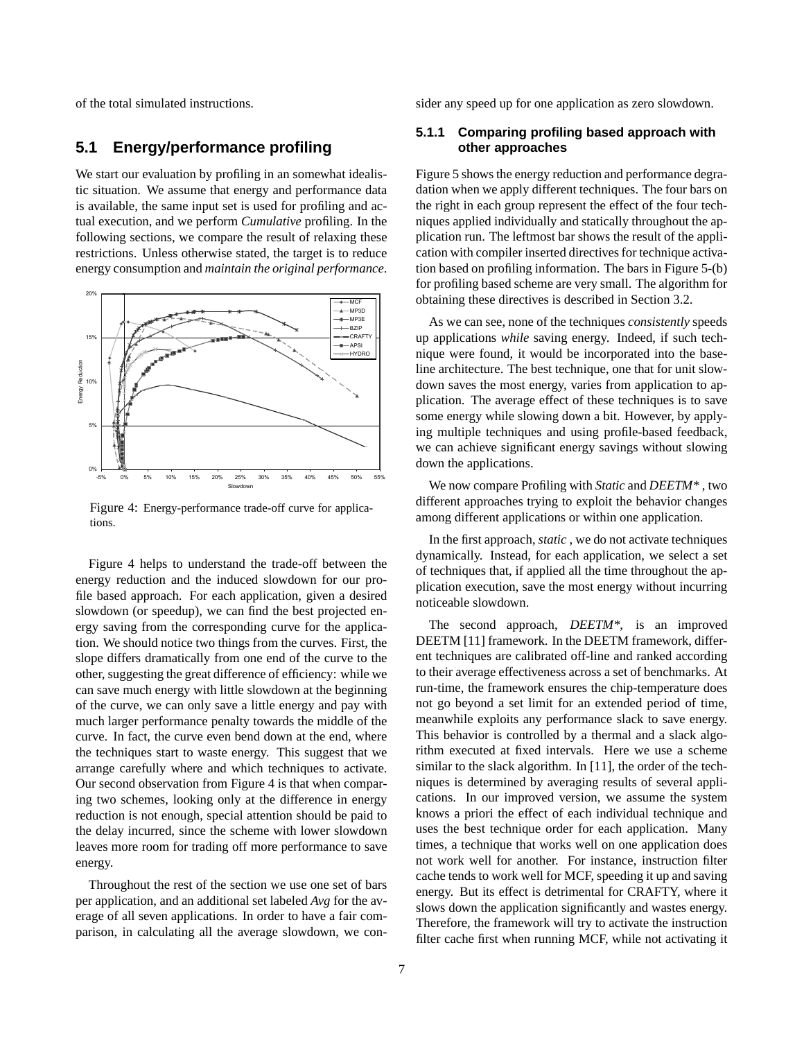of the total simulated instructions.

#### **5.1 Energy/performance profiling**

We start our evaluation by profiling in an somewhat idealistic situation. We assume that energy and performance data is available, the same input set is used for profiling and actual execution, and we perform *Cumulative* profiling. In the following sections, we compare the result of relaxing these restrictions. Unless otherwise stated, the target is to reduce energy consumption and *maintain the original performance*.



Figure 4: Energy-performance trade-off curve for applications.

Figure 4 helps to understand the trade-off between the energy reduction and the induced slowdown for our profile based approach. For each application, given a desired slowdown (or speedup), we can find the best projected energy saving from the corresponding curve for the application. We should notice two things from the curves. First, the slope differs dramatically from one end of the curve to the other, suggesting the great difference of efficiency: while we can save much energy with little slowdown at the beginning of the curve, we can only save a little energy and pay with much larger performance penalty towards the middle of the curve. In fact, the curve even bend down at the end, where the techniques start to waste energy. This suggest that we arrange carefully where and which techniques to activate. Our second observation from Figure 4 is that when comparing two schemes, looking only at the difference in energy reduction is not enough, special attention should be paid to the delay incurred, since the scheme with lower slowdown leaves more room for trading off more performance to save energy.

Throughout the rest of the section we use one set of bars per application, and an additional set labeled *Avg* for the average of all seven applications. In order to have a fair comparison, in calculating all the average slowdown, we consider any speed up for one application as zero slowdown.

#### **5.1.1 Comparing profiling based approach with other approaches**

Figure 5 shows the energy reduction and performance degradation when we apply different techniques. The four bars on the right in each group represent the effect of the four techniques applied individually and statically throughout the application run. The leftmost bar shows the result of the application with compiler inserted directives for technique activation based on profiling information. The bars in Figure 5-(b) for profiling based scheme are very small. The algorithm for obtaining these directives is described in Section 3.2.

As we can see, none of the techniques *consistently* speeds up applications *while* saving energy. Indeed, if such technique were found, it would be incorporated into the baseline architecture. The best technique, one that for unit slowdown saves the most energy, varies from application to application. The average effect of these techniques is to save some energy while slowing down a bit. However, by applying multiple techniques and using profile-based feedback, we can achieve significant energy savings without slowing down the applications.

We now compare Profiling with *Static* and *DEETM\** , two different approaches trying to exploit the behavior changes among different applications or within one application.

In the first approach, *static* , we do not activate techniques dynamically. Instead, for each application, we select a set of techniques that, if applied all the time throughout the application execution, save the most energy without incurring noticeable slowdown.

The second approach, *DEETM\**, is an improved DEETM [11] framework. In the DEETM framework, different techniques are calibrated off-line and ranked according to their average effectiveness across a set of benchmarks. At run-time, the framework ensures the chip-temperature does not go beyond a set limit for an extended period of time, meanwhile exploits any performance slack to save energy. This behavior is controlled by a thermal and a slack algorithm executed at fixed intervals. Here we use a scheme similar to the slack algorithm. In [11], the order of the techniques is determined by averaging results of several applications. In our improved version, we assume the system knows a priori the effect of each individual technique and uses the best technique order for each application. Many times, a technique that works well on one application does not work well for another. For instance, instruction filter cache tends to work well for MCF, speeding it up and saving energy. But its effect is detrimental for CRAFTY, where it slows down the application significantly and wastes energy. Therefore, the framework will try to activate the instruction filter cache first when running MCF, while not activating it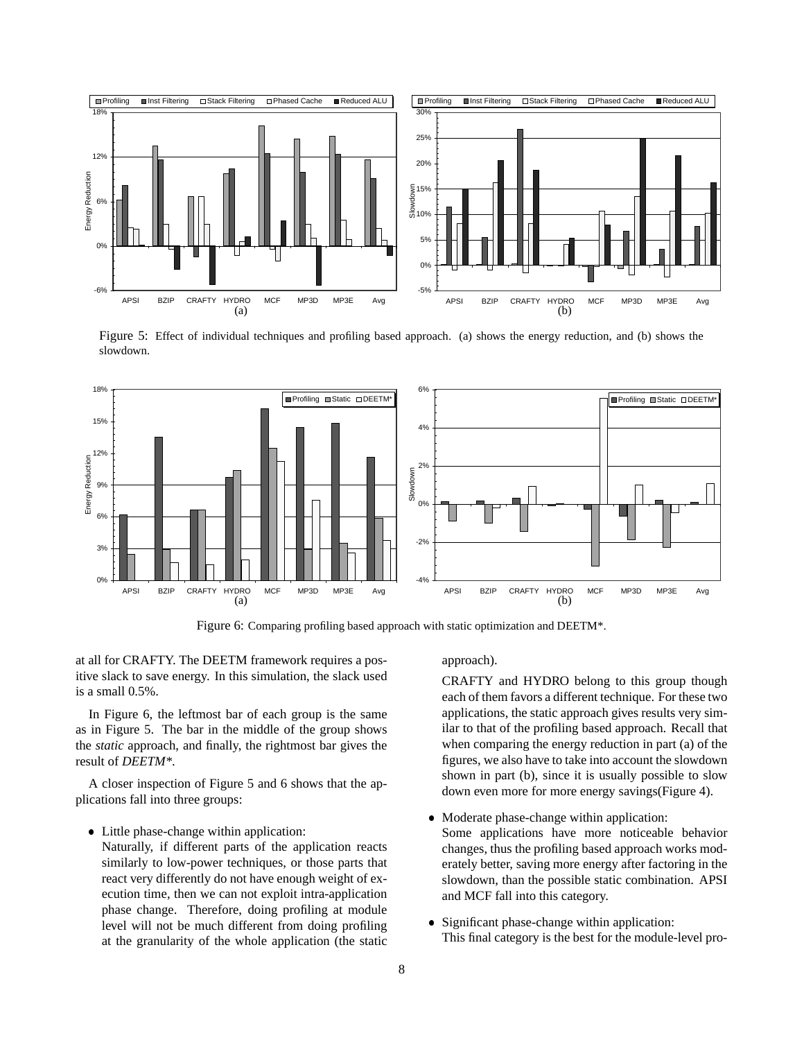

Figure 5: Effect of individual techniques and profiling based approach. (a) shows the energy reduction, and (b) shows the slowdown.



Figure 6: Comparing profiling based approach with static optimization and DEETM\*.

at all for CRAFTY. The DEETM framework requires a positive slack to save energy. In this simulation, the slack used is a small 0.5%.

In Figure 6, the leftmost bar of each group is the same as in Figure 5. The bar in the middle of the group shows the *static* approach, and finally, the rightmost bar gives the result of *DEETM\**.

A closer inspection of Figure 5 and 6 shows that the applications fall into three groups:

• Little phase-change within application:

Naturally, if different parts of the application reacts similarly to low-power techniques, or those parts that react very differently do not have enough weight of execution time, then we can not exploit intra-application phase change. Therefore, doing profiling at module level will not be much different from doing profiling at the granularity of the whole application (the static approach).

CRAFTY and HYDRO belong to this group though each of them favors a different technique. For these two applications, the static approach gives results very similar to that of the profiling based approach. Recall that when comparing the energy reduction in part (a) of the figures, we also have to take into account the slowdown shown in part (b), since it is usually possible to slow down even more for more energy savings(Figure 4).

- Moderate phase-change within application: Some applications have more noticeable behavior changes, thus the profiling based approach works moderately better, saving more energy after factoring in the slowdown, than the possible static combination. APSI and MCF fall into this category.
- Significant phase-change within application: This final category is the best for the module-level pro-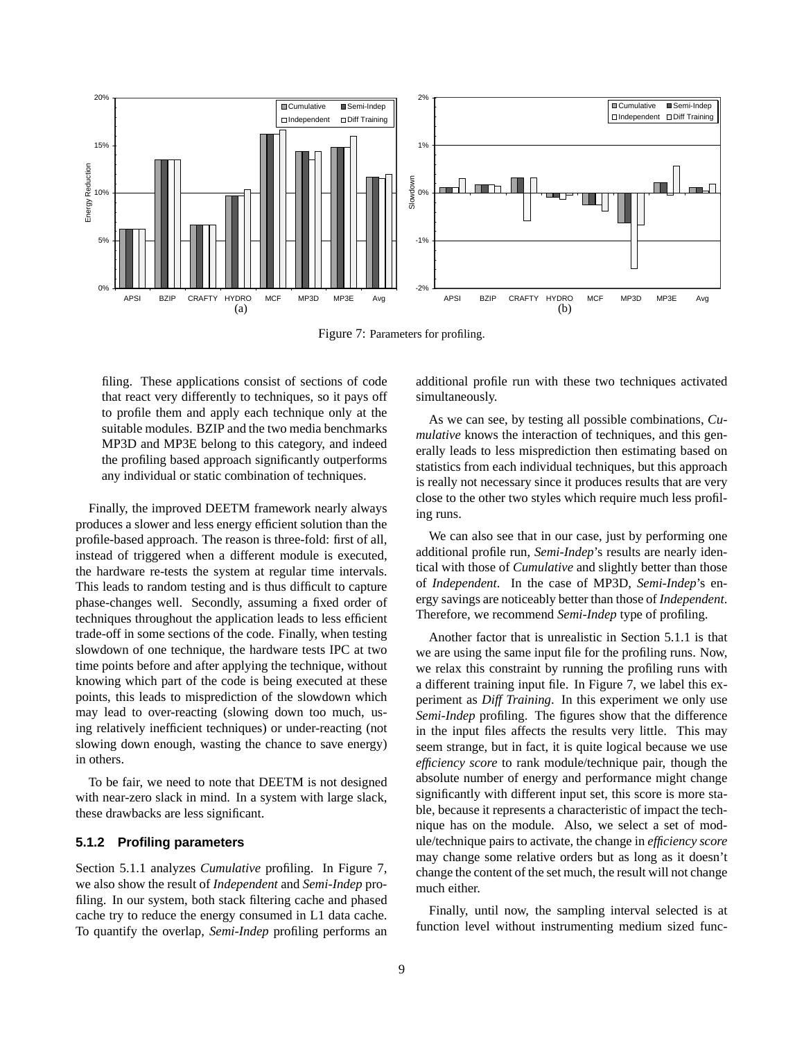

Figure 7: Parameters for profiling.

filing. These applications consist of sections of code that react very differently to techniques, so it pays off to profile them and apply each technique only at the suitable modules. BZIP and the two media benchmarks MP3D and MP3E belong to this category, and indeed the profiling based approach significantly outperforms any individual or static combination of techniques.

Finally, the improved DEETM framework nearly always produces a slower and less energy efficient solution than the profile-based approach. The reason is three-fold: first of all, instead of triggered when a different module is executed, the hardware re-tests the system at regular time intervals. This leads to random testing and is thus difficult to capture phase-changes well. Secondly, assuming a fixed order of techniques throughout the application leads to less efficient trade-off in some sections of the code. Finally, when testing slowdown of one technique, the hardware tests IPC at two time points before and after applying the technique, without knowing which part of the code is being executed at these points, this leads to misprediction of the slowdown which may lead to over-reacting (slowing down too much, using relatively inefficient techniques) or under-reacting (not slowing down enough, wasting the chance to save energy) in others.

To be fair, we need to note that DEETM is not designed with near-zero slack in mind. In a system with large slack, these drawbacks are less significant.

#### **5.1.2 Profiling parameters**

Section 5.1.1 analyzes *Cumulative* profiling. In Figure 7, we also show the result of *Independent* and *Semi-Indep* profiling. In our system, both stack filtering cache and phased cache try to reduce the energy consumed in L1 data cache. To quantify the overlap, *Semi-Indep* profiling performs an

additional profile run with these two techniques activated simultaneously.

As we can see, by testing all possible combinations, *Cumulative* knows the interaction of techniques, and this generally leads to less misprediction then estimating based on statistics from each individual techniques, but this approach is really not necessary since it produces results that are very close to the other two styles which require much less profiling runs.

We can also see that in our case, just by performing one additional profile run, *Semi-Indep*'s results are nearly identical with those of *Cumulative* and slightly better than those of *Independent*. In the case of MP3D, *Semi-Indep*'s energy savings are noticeably better than those of *Independent*. Therefore, we recommend *Semi-Indep* type of profiling.

Another factor that is unrealistic in Section 5.1.1 is that we are using the same input file for the profiling runs. Now, we relax this constraint by running the profiling runs with a different training input file. In Figure 7, we label this experiment as *Diff Training*. In this experiment we only use *Semi-Indep* profiling. The figures show that the difference in the input files affects the results very little. This may seem strange, but in fact, it is quite logical because we use *efficiency score* to rank module/technique pair, though the absolute number of energy and performance might change significantly with different input set, this score is more stable, because it represents a characteristic of impact the technique has on the module. Also, we select a set of module/technique pairs to activate, the change in *efficiency score* may change some relative orders but as long as it doesn't change the content of the set much, the result will not change much either.

Finally, until now, the sampling interval selected is at function level without instrumenting medium sized func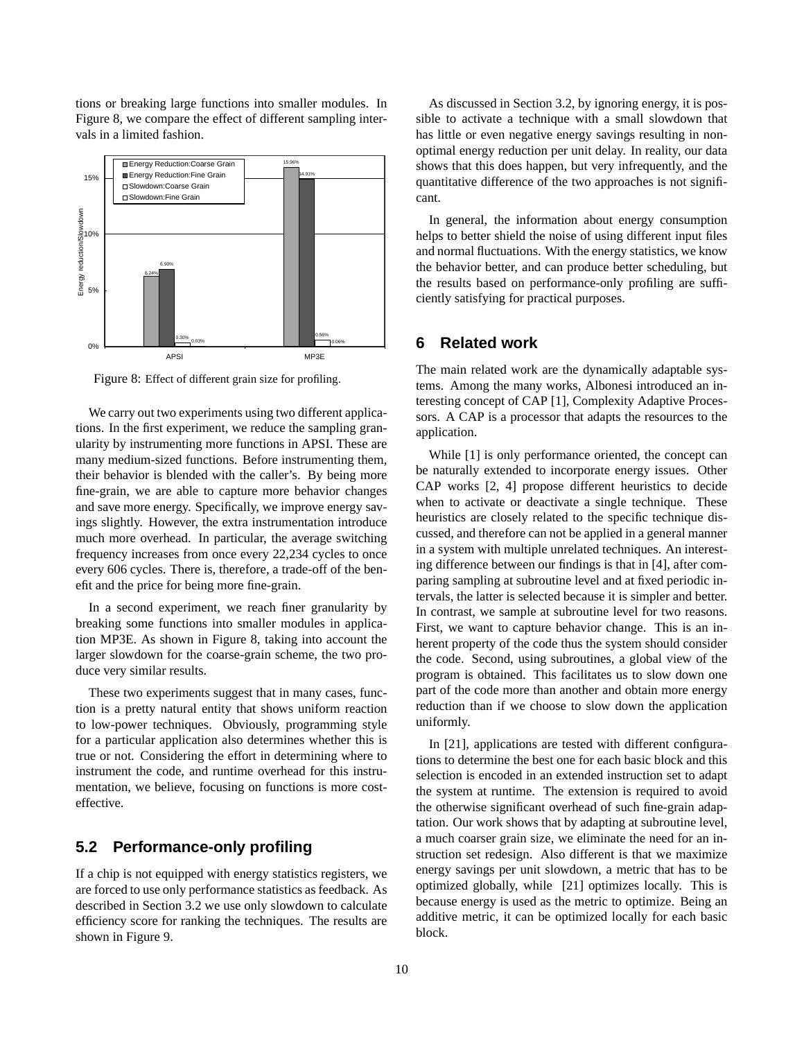tions or breaking large functions into smaller modules. In Figure 8, we compare the effect of different sampling intervals in a limited fashion.



Figure 8: Effect of different grain size for profiling.

We carry out two experiments using two different applications. In the first experiment, we reduce the sampling granularity by instrumenting more functions in APSI. These are many medium-sized functions. Before instrumenting them, their behavior is blended with the caller's. By being more fine-grain, we are able to capture more behavior changes and save more energy. Specifically, we improve energy savings slightly. However, the extra instrumentation introduce much more overhead. In particular, the average switching frequency increases from once every 22,234 cycles to once every 606 cycles. There is, therefore, a trade-off of the benefit and the price for being more fine-grain.

In a second experiment, we reach finer granularity by breaking some functions into smaller modules in application MP3E. As shown in Figure 8, taking into account the larger slowdown for the coarse-grain scheme, the two produce very similar results.

These two experiments suggest that in many cases, function is a pretty natural entity that shows uniform reaction to low-power techniques. Obviously, programming style for a particular application also determines whether this is true or not. Considering the effort in determining where to instrument the code, and runtime overhead for this instrumentation, we believe, focusing on functions is more costeffective.

## **5.2 Performance-only profiling**

If a chip is not equipped with energy statistics registers, we are forced to use only performance statistics asfeedback. As described in Section 3.2 we use only slowdown to calculate efficiency score for ranking the techniques. The results are shown in Figure 9.

As discussed in Section 3.2, by ignoring energy, it is possible to activate a technique with a small slowdown that has little or even negative energy savings resulting in nonoptimal energy reduction per unit delay. In reality, our data shows that this does happen, but very infrequently, and the quantitative difference of the two approaches is not significant.

In general, the information about energy consumption helps to better shield the noise of using different input files and normal fluctuations. With the energy statistics, we know the behavior better, and can produce better scheduling, but the results based on performance-only profiling are sufficiently satisfying for practical purposes.

#### **6 Related work**

The main related work are the dynamically adaptable systems. Among the many works, Albonesi introduced an interesting concept of CAP [1], Complexity Adaptive Processors. A CAP is a processor that adapts the resources to the application.

While [1] is only performance oriented, the concept can be naturally extended to incorporate energy issues. Other CAP works [2, 4] propose different heuristics to decide when to activate or deactivate a single technique. These heuristics are closely related to the specific technique discussed, and therefore can not be applied in a general manner in a system with multiple unrelated techniques. An interesting difference between our findings is that in [4], after comparing sampling at subroutine level and at fixed periodic intervals, the latter is selected because it is simpler and better. In contrast, we sample at subroutine level for two reasons. First, we want to capture behavior change. This is an inherent property of the code thus the system should consider the code. Second, using subroutines, a global view of the program is obtained. This facilitates us to slow down one part of the code more than another and obtain more energy reduction than if we choose to slow down the application uniformly.

In [21], applications are tested with different configurations to determine the best one for each basic block and this selection is encoded in an extended instruction set to adapt the system at runtime. The extension is required to avoid the otherwise significant overhead of such fine-grain adaptation. Our work shows that by adapting at subroutine level, a much coarser grain size, we eliminate the need for an instruction set redesign. Also different is that we maximize energy savings per unit slowdown, a metric that has to be optimized globally, while [21] optimizes locally. This is because energy is used as the metric to optimize. Being an additive metric, it can be optimized locally for each basic block.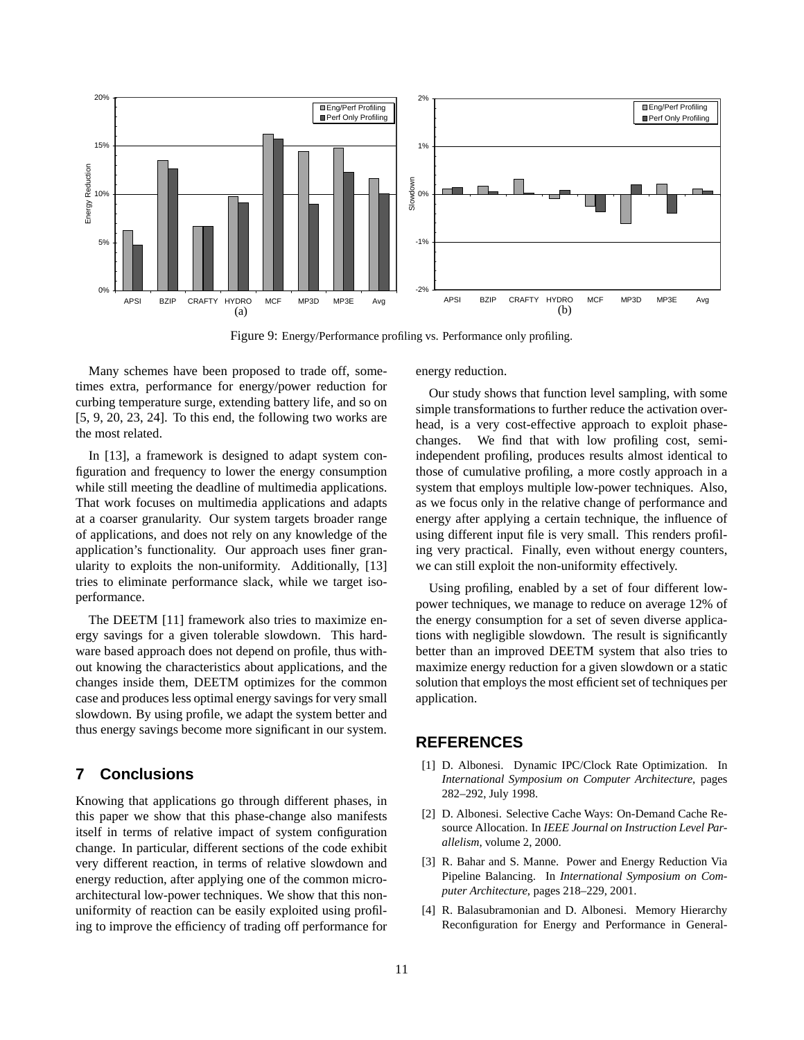

Figure 9: Energy/Performance profiling vs. Performance only profiling.

Many schemes have been proposed to trade off, sometimes extra, performance for energy/power reduction for curbing temperature surge, extending battery life, and so on [5, 9, 20, 23, 24]. To this end, the following two works are the most related.

In [13], a framework is designed to adapt system configuration and frequency to lower the energy consumption while still meeting the deadline of multimedia applications. That work focuses on multimedia applications and adapts at a coarser granularity. Our system targets broader range of applications, and does not rely on any knowledge of the application's functionality. Our approach uses finer granularity to exploits the non-uniformity. Additionally, [13] tries to eliminate performance slack, while we target isoperformance.

The DEETM [11] framework also tries to maximize energy savings for a given tolerable slowdown. This hardware based approach does not depend on profile, thus without knowing the characteristics about applications, and the changes inside them, DEETM optimizes for the common case and produces less optimal energy savings for very small slowdown. By using profile, we adapt the system better and thus energy savings become more significant in our system.

### **7 Conclusions**

Knowing that applications go through different phases, in this paper we show that this phase-change also manifests itself in terms of relative impact of system configuration change. In particular, different sections of the code exhibit very different reaction, in terms of relative slowdown and energy reduction, after applying one of the common microarchitectural low-power techniques. We show that this nonuniformity of reaction can be easily exploited using profiling to improve the efficiency of trading off performance for

energy reduction.

Our study shows that function level sampling, with some simple transformations to further reduce the activation overhead, is a very cost-effective approach to exploit phasechanges. We find that with low profiling cost, semiindependent profiling, produces results almost identical to those of cumulative profiling, a more costly approach in a system that employs multiple low-power techniques. Also, as we focus only in the relative change of performance and energy after applying a certain technique, the influence of using different input file is very small. This renders profiling very practical. Finally, even without energy counters, we can still exploit the non-uniformity effectively.

Using profiling, enabled by a set of four different lowpower techniques, we manage to reduce on average 12% of the energy consumption for a set of seven diverse applications with negligible slowdown. The result is significantly better than an improved DEETM system that also tries to maximize energy reduction for a given slowdown or a static solution that employs the most efficient set of techniques per application.

#### **REFERENCES**

- [1] D. Albonesi. Dynamic IPC/Clock Rate Optimization. In *International Symposium on Computer Architecture*, pages 282–292, July 1998.
- [2] D. Albonesi. Selective Cache Ways: On-Demand Cache Resource Allocation. In *IEEE Journal on Instruction Level Parallelism*, volume 2, 2000.
- [3] R. Bahar and S. Manne. Power and Energy Reduction Via Pipeline Balancing. In *International Symposium on Computer Architecture*, pages 218–229, 2001.
- [4] R. Balasubramonian and D. Albonesi. Memory Hierarchy Reconfiguration for Energy and Performance in General-